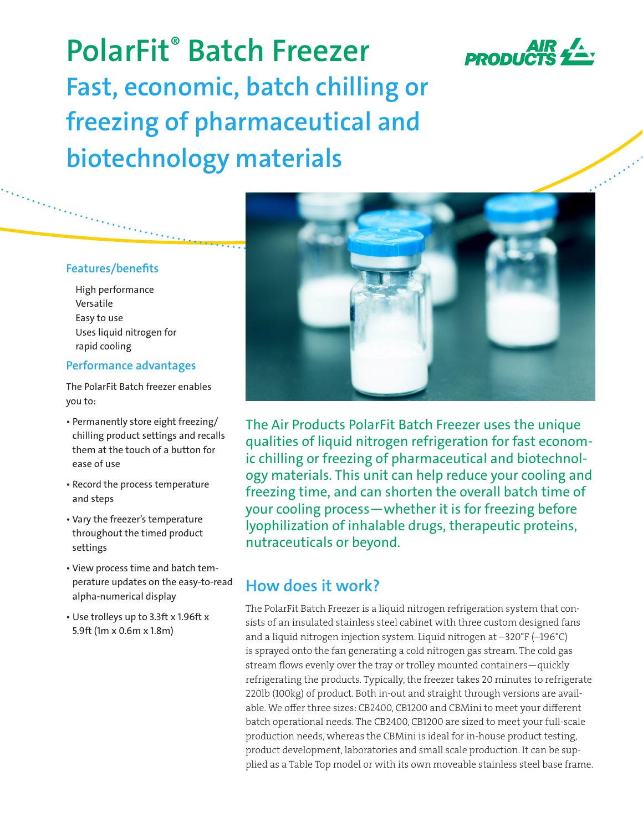

**PolarFit® Batch Freezer Fast, economic, batch chilling or freezing of pharmaceutical and biotechnology materials**

## **Features/benefits**

High performance Versatile Easy to use Uses liquid nitrogen for rapid cooling

## **Performance advantages**

The PolarFit Batch freezer enables you to:

- Permanently store eight freezing/ chilling product settings and recalls them at the touch of a button for ease of use
- Record the process temperature and steps
- Vary the freezer's temperature throughout the timed product settings
- View process time and batch temperature updates on the easy-to-read alpha-numerical display
- Use trolleys up to 3.3ft x 1.96ft x 5.9ft (1m x 0.6m x 1.8m)



The Air Products PolarFit Batch Freezer uses the unique qualities of liquid nitrogen refrigeration for fast economic chilling or freezing of pharmaceutical and biotechnology materials. This unit can help reduce your cooling and freezing time, and can shorten the overall batch time of your cooling process—whether it is for freezing before lyophilization of inhalable drugs, therapeutic proteins, nutraceuticals or beyond.

## **How does it work?**

The PolarFit Batch Freezer is a liquid nitrogen refrigeration system that consists of an insulated stainless steel cabinet with three custom designed fans and a liquid nitrogen injection system. Liquid nitrogen at –320°F (–196°C) is sprayed onto the fan generating a cold nitrogen gas stream. The cold gas stream flows evenly over the tray or trolley mounted containers—quickly refrigerating the products. Typically, the freezer takes 20 minutes to refrigerate 220lb (100kg) of product. Both in-out and straight through versions are available. We offer three sizes: CB2400, CB1200 and CBMini to meet your different batch operational needs. The CB2400, CB1200 are sized to meet your full-scale production needs, whereas the CBMini is ideal for in-house product testing, product development, laboratories and small scale production. It can be supplied as a Table Top model or with its own moveable stainless steel base frame.